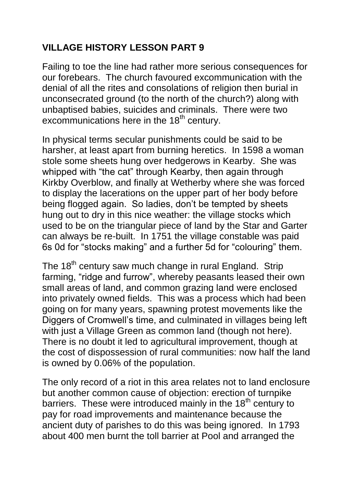## **VILLAGE HISTORY LESSON PART 9**

Failing to toe the line had rather more serious consequences for our forebears. The church favoured excommunication with the denial of all the rites and consolations of religion then burial in unconsecrated ground (to the north of the church?) along with unbaptised babies, suicides and criminals. There were two excommunications here in the  $18<sup>th</sup>$  century.

In physical terms secular punishments could be said to be harsher, at least apart from burning heretics. In 1598 a woman stole some sheets hung over hedgerows in Kearby. She was whipped with "the cat" through Kearby, then again through Kirkby Overblow, and finally at Wetherby where she was forced to display the lacerations on the upper part of her body before being flogged again. So ladies, don't be tempted by sheets hung out to dry in this nice weather: the village stocks which used to be on the triangular piece of land by the Star and Garter can always be re-built. In 1751 the village constable was paid 6s 0d for "stocks making" and a further 5d for "colouring" them.

The 18<sup>th</sup> century saw much change in rural England. Strip farming, "ridge and furrow", whereby peasants leased their own small areas of land, and common grazing land were enclosed into privately owned fields. This was a process which had been going on for many years, spawning protest movements like the Diggers of Cromwell's time, and culminated in villages being left with just a Village Green as common land (though not here). There is no doubt it led to agricultural improvement, though at the cost of dispossession of rural communities: now half the land is owned by 0.06% of the population.

The only record of a riot in this area relates not to land enclosure but another common cause of objection: erection of turnpike barriers. These were introduced mainly in the 18<sup>th</sup> century to pay for road improvements and maintenance because the ancient duty of parishes to do this was being ignored. In 1793 about 400 men burnt the toll barrier at Pool and arranged the